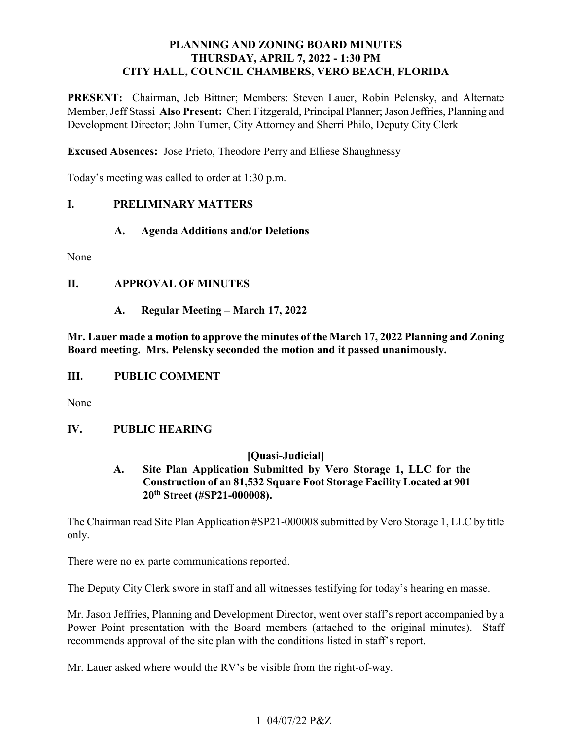# **PLANNING AND ZONING BOARD MINUTES THURSDAY, APRIL 7, 2022 - 1:30 PM CITY HALL, COUNCIL CHAMBERS, VERO BEACH, FLORIDA**

PRESENT: Chairman, Jeb Bittner; Members: Steven Lauer, Robin Pelensky, and Alternate Member, Jeff Stassi **Also Present:** Cheri Fitzgerald, Principal Planner; Jason Jeffries, Planning and Development Director; John Turner, City Attorney and Sherri Philo, Deputy City Clerk

**Excused Absences:** Jose Prieto, Theodore Perry and Elliese Shaughnessy

Today's meeting was called to order at 1:30 p.m.

## **I. PRELIMINARY MATTERS**

## **A. Agenda Additions and/or Deletions**

None

# **II. APPROVAL OF MINUTES**

**A. Regular Meeting – March 17, 2022** 

 **Mr. Lauer made a motion to approve the minutes of the March 17, 2022 Planning and Zoning Board meeting. Mrs. Pelensky seconded the motion and it passed unanimously.** 

### *III.* **III. PUBLIC COMMENT**

None

### **IV. IV. PUBLIC HEARING**

## **[Quasi-Judicial]**

# **A. Site Plan Application Submitted by Vero Storage 1, LLC for the Construction of an 81,532 Square Foot Storage Facility Located at 901 20th Street (#SP21-000008).**

The Chairman read Site Plan Application #SP21-000008 submitted by Vero Storage 1, LLC by title only.

There were no ex parte communications reported.

The Deputy City Clerk swore in staff and all witnesses testifying for today's hearing en masse.

 Power Point presentation with the Board members (attached to the original minutes). Staff Mr. Jason Jeffries, Planning and Development Director, went over staff's report accompanied by a recommends approval of the site plan with the conditions listed in staff's report.

Mr. Lauer asked where would the RV's be visible from the right-of-way.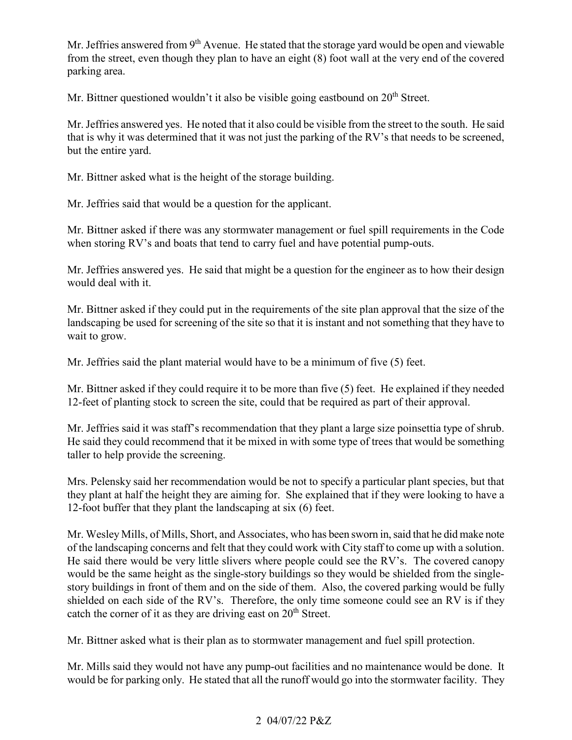from the street, even though they plan to have an eight (8) foot wall at the very end of the covered Mr. Jeffries answered from  $9<sup>th</sup>$  Avenue. He stated that the storage yard would be open and viewable parking area.

Mr. Bittner questioned wouldn't it also be visible going eastbound on  $20<sup>th</sup>$  Street.

 Mr. Jeffries answered yes. He noted that it also could be visible from the street to the south. He said that is why it was determined that it was not just the parking of the RV's that needs to be screened, but the entire yard.

Mr. Bittner asked what is the height of the storage building.

Mr. Jeffries said that would be a question for the applicant.

Mr. Bittner asked if there was any stormwater management or fuel spill requirements in the Code when storing RV's and boats that tend to carry fuel and have potential pump-outs.

 Mr. Jeffries answered yes. He said that might be a question for the engineer as to how their design would deal with it.

 landscaping be used for screening of the site so that it is instant and not something that they have to Mr. Bittner asked if they could put in the requirements of the site plan approval that the size of the wait to grow.

Mr. Jeffries said the plant material would have to be a minimum of five (5) feet.

 Mr. Bittner asked if they could require it to be more than five (5) feet. He explained if they needed 12-feet of planting stock to screen the site, could that be required as part of their approval.

 He said they could recommend that it be mixed in with some type of trees that would be something Mr. Jeffries said it was staff's recommendation that they plant a large size poinsettia type of shrub. taller to help provide the screening.

 they plant at half the height they are aiming for. She explained that if they were looking to have a 12-foot buffer that they plant the landscaping at six (6) feet. Mrs. Pelensky said her recommendation would be not to specify a particular plant species, but that

 of the landscaping concerns and felt that they could work with City staff to come up with a solution. would be the same height as the single-story buildings so they would be shielded from the single- shielded on each side of the RV's. Therefore, the only time someone could see an RV is if they catch the corner of it as they are driving east on  $20<sup>th</sup>$  Street. Mr. Wesley Mills, of Mills, Short, and Associates, who has been sworn in, said that he did make note He said there would be very little slivers where people could see the RV's. The covered canopy story buildings in front of them and on the side of them. Also, the covered parking would be fully

Mr. Bittner asked what is their plan as to stormwater management and fuel spill protection.

 Mr. Mills said they would not have any pump-out facilities and no maintenance would be done. It would be for parking only. He stated that all the runoff would go into the stormwater facility. They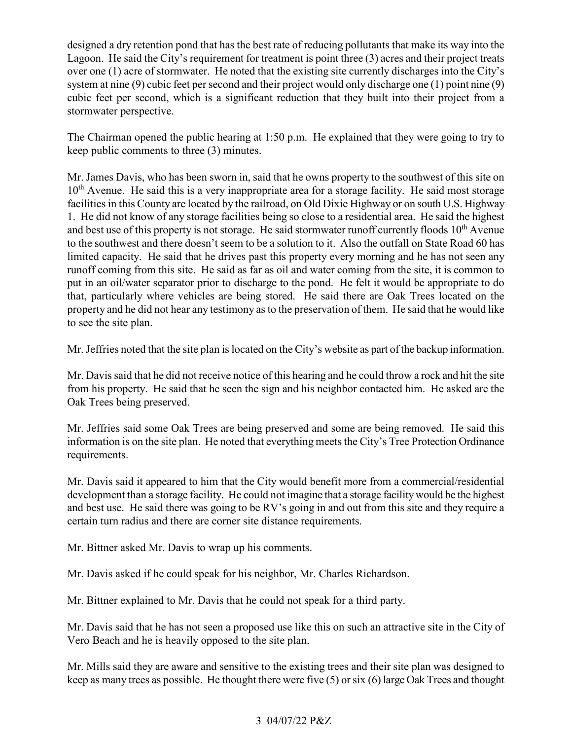designed a dry retention pond that has the best rate of reducing pollutants that make its way into the over one (1) acre of stormwater. He noted that the existing site currently discharges into the City's system at nine (9) cubic feet per second and their project would only discharge one (1) point nine (9) cubic feet per second, which is a significant reduction that they built into their project from a Lagoon. He said the City's requirement for treatment is point three (3) acres and their project treats stormwater perspective.

 The Chairman opened the public hearing at 1:50 p.m. He explained that they were going to try to keep public comments to three (3) minutes.

 Mr. James Davis, who has been sworn in, said that he owns property to the southwest of this site on  $10<sup>th</sup>$  Avenue. He said this is a very inappropriate area for a storage facility. He said most storage facilities in this County are located by the railroad, on Old Dixie Highway or on south U.S. Highway 1. He did not know of any storage facilities being so close to a residential area. He said the highest and best use of this property is not storage. He said stormwater runoff currently floods  $10^{th}$  Avenue to the southwest and there doesn't seem to be a solution to it. Also the outfall on State Road 60 has limited capacity. He said that he drives past this property every morning and he has not seen any runoff coming from this site. He said as far as oil and water coming from the site, it is common to put in an oil/water separator prior to discharge to the pond. He felt it would be appropriate to do property and he did not hear any testimony as to the preservation of them. He said that he would like that, particularly where vehicles are being stored. He said there are Oak Trees located on the to see the site plan.

Mr. Jeffries noted that the site plan is located on the City's website as part of the backup information.

 Mr. Davis said that he did not receive notice of this hearing and he could throw a rock and hit the site from his property. He said that he seen the sign and his neighbor contacted him. He asked are the Oak Trees being preserved.

 Mr. Jeffries said some Oak Trees are being preserved and some are being removed. He said this information is on the site plan. He noted that everything meets the City's Tree Protection Ordinance requirements.

 Mr. Davis said it appeared to him that the City would benefit more from a commercial/residential development than a storage facility. He could not imagine that a storage facility would be the highest and best use. He said there was going to be RV's going in and out from this site and they require a certain turn radius and there are corner site distance requirements. Mr. Bittner asked Mr. Davis to wrap up his comments.

Mr. Davis asked if he could speak for his neighbor, Mr. Charles Richardson.

Mr. Bittner explained to Mr. Davis that he could not speak for a third party.

 Mr. Davis said that he has not seen a proposed use like this on such an attractive site in the City of Vero Beach and he is heavily opposed to the site plan.

 Mr. Mills said they are aware and sensitive to the existing trees and their site plan was designed to keep as many trees as possible. He thought there were five (5) or six (6) large Oak Trees and thought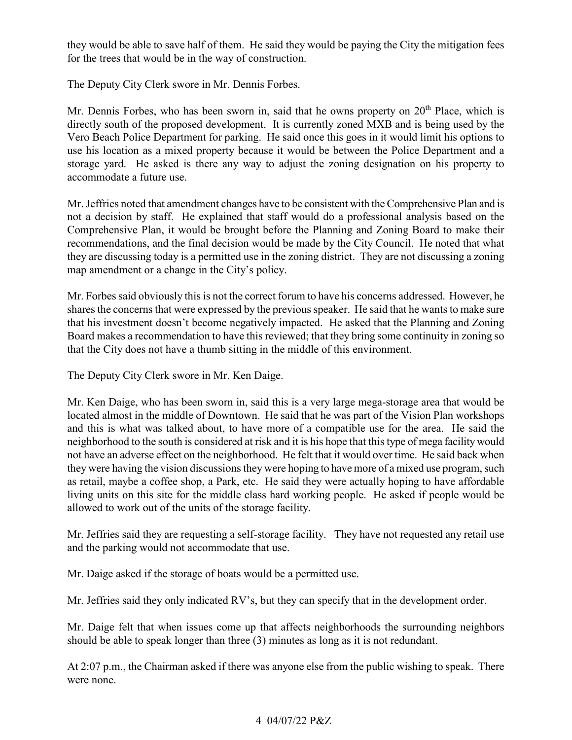they would be able to save half of them. He said they would be paying the City the mitigation fees for the trees that would be in the way of construction.

The Deputy City Clerk swore in Mr. Dennis Forbes.

 directly south of the proposed development. It is currently zoned MXB and is being used by the use his location as a mixed property because it would be between the Police Department and a storage yard. He asked is there any way to adjust the zoning designation on his property to accommodate a future use. Mr. Dennis Forbes, who has been sworn in, said that he owns property on  $20<sup>th</sup>$  Place, which is Vero Beach Police Department for parking. He said once this goes in it would limit his options to

 Mr. Jeffries noted that amendment changes have to be consistent with the Comprehensive Plan and is not a decision by staff. He explained that staff would do a professional analysis based on the recommendations, and the final decision would be made by the City Council. He noted that what they are discussing today is a permitted use in the zoning district. They are not discussing a zoning Comprehensive Plan, it would be brought before the Planning and Zoning Board to make their map amendment or a change in the City's policy.

 Mr. Forbes said obviously this is not the correct forum to have his concerns addressed. However, he shares the concerns that were expressed by the previous speaker. He said that he wants to make sure that his investment doesn't become negatively impacted. He asked that the Planning and Zoning Board makes a recommendation to have this reviewed; that they bring some continuity in zoning so that the City does not have a thumb sitting in the middle of this environment.

The Deputy City Clerk swore in Mr. Ken Daige.

 located almost in the middle of Downtown. He said that he was part of the Vision Plan workshops neighborhood to the south is considered at risk and it is his hope that this type of mega facility would as retail, maybe a coffee shop, a Park, etc. He said they were actually hoping to have affordable living units on this site for the middle class hard working people. He asked if people would be Mr. Ken Daige, who has been sworn in, said this is a very large mega-storage area that would be and this is what was talked about, to have more of a compatible use for the area. He said the not have an adverse effect on the neighborhood. He felt that it would over time. He said back when they were having the vision discussions they were hoping to have more of a mixed use program, such allowed to work out of the units of the storage facility.

 Mr. Jeffries said they are requesting a self-storage facility. They have not requested any retail use and the parking would not accommodate that use.

Mr. Daige asked if the storage of boats would be a permitted use.

Mr. Jeffries said they only indicated RV's, but they can specify that in the development order.

Mr. Daige felt that when issues come up that affects neighborhoods the surrounding neighbors should be able to speak longer than three (3) minutes as long as it is not redundant.

At 2:07 p.m., the Chairman asked if there was anyone else from the public wishing to speak. There were none.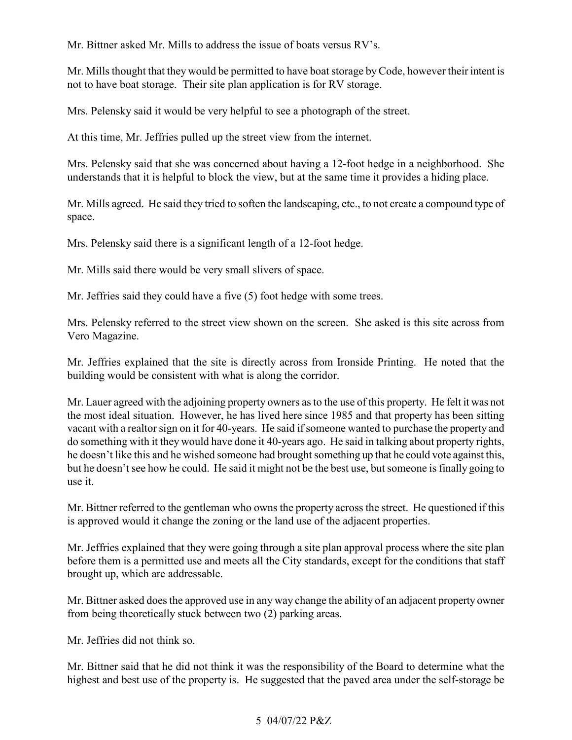Mr. Bittner asked Mr. Mills to address the issue of boats versus RV's.

Mr. Mills thought that they would be permitted to have boat storage by Code, however their intent is not to have boat storage. Their site plan application is for RV storage.

Mrs. Pelensky said it would be very helpful to see a photograph of the street.

At this time, Mr. Jeffries pulled up the street view from the internet.

 Mrs. Pelensky said that she was concerned about having a 12-foot hedge in a neighborhood. She understands that it is helpful to block the view, but at the same time it provides a hiding place.

 Mr. Mills agreed. He said they tried to soften the landscaping, etc., to not create a compound type of space.

Mrs. Pelensky said there is a significant length of a 12-foot hedge.

Mr. Mills said there would be very small slivers of space.

Mr. Jeffries said they could have a five (5) foot hedge with some trees.

 Mrs. Pelensky referred to the street view shown on the screen. She asked is this site across from Vero Magazine.

 Mr. Jeffries explained that the site is directly across from Ironside Printing. He noted that the building would be consistent with what is along the corridor.

 vacant with a realtor sign on it for 40-years. He said if someone wanted to purchase the property and he doesn't like this and he wished someone had brought something up that he could vote against this, but he doesn't see how he could. He said it might not be the best use, but someone is finally going to Mr. Lauer agreed with the adjoining property owners as to the use of this property. He felt it was not the most ideal situation. However, he has lived here since 1985 and that property has been sitting do something with it they would have done it 40-years ago. He said in talking about property rights, use it.

Mr. Bittner referred to the gentleman who owns the property across the street. He questioned if this is approved would it change the zoning or the land use of the adjacent properties.

 Mr. Jeffries explained that they were going through a site plan approval process where the site plan before them is a permitted use and meets all the City standards, except for the conditions that staff brought up, which are addressable.

 Mr. Bittner asked does the approved use in any way change the ability of an adjacent property owner from being theoretically stuck between two (2) parking areas.

Mr. Jeffries did not think so.

Mr. Bittner said that he did not think it was the responsibility of the Board to determine what the highest and best use of the property is. He suggested that the paved area under the self-storage be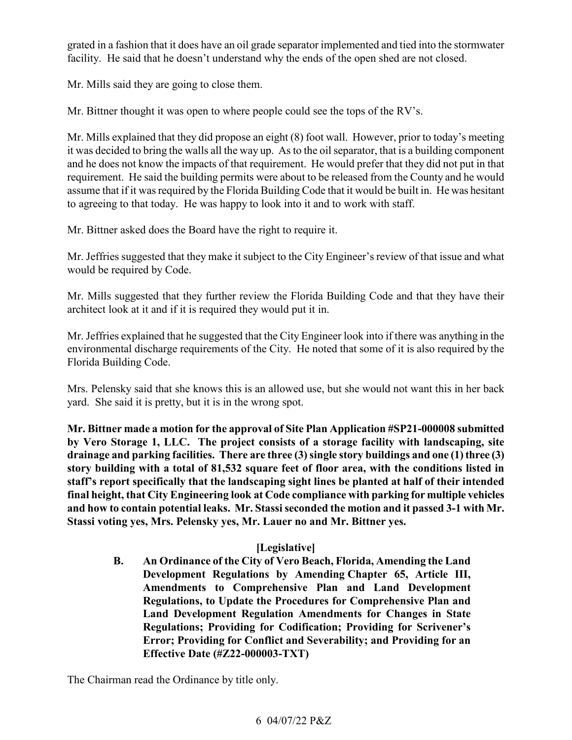grated in a fashion that it does have an oil grade separator implemented and tied into the stormwater facility. He said that he doesn't understand why the ends of the open shed are not closed.

Mr. Mills said they are going to close them.

Mr. Bittner thought it was open to where people could see the tops of the RV's.

 Mr. Mills explained that they did propose an eight (8) foot wall. However, prior to today's meeting it was decided to bring the walls all the way up. As to the oil separator, that is a building component requirement. He said the building permits were about to be released from the County and he would assume that if it was required by the Florida Building Code that it would be built in. He was hesitant to agreeing to that today. He was happy to look into it and to work with staff. Mr. Bittner asked does the Board have the right to require it. and he does not know the impacts of that requirement. He would prefer that they did not put in that

 would be required by Code. Mr. Jeffries suggested that they make it subject to the City Engineer's review of that issue and what

Mr. Mills suggested that they further review the Florida Building Code and that they have their architect look at it and if it is required they would put it in.

 Mr. Jeffries explained that he suggested that the City Engineer look into if there was anything in the environmental discharge requirements of the City. He noted that some of it is also required by the Florida Building Code.

 Mrs. Pelensky said that she knows this is an allowed use, but she would not want this in her back yard. She said it is pretty, but it is in the wrong spot.

 **drainage and parking facilities. There are three (3) single story buildings and one (1) three (3) story building with a total of 81,532 square feet of floor area, with the conditions listed in staff's report specifically that the landscaping sight lines be planted at half of their intended final height, that City Engineering look at Code compliance with parking for multiple vehicles and how to contain potential leaks. Mr. Stassi seconded the motion and it passed 3-1 with Mr. Mr. Bittner made a motion for the approval of Site Plan Application #SP21-000008 submitted by Vero Storage 1, LLC. The project consists of a storage facility with landscaping, site Stassi voting yes, Mrs. Pelensky yes, Mr. Lauer no and Mr. Bittner yes.** 

# **[Legislative]**

 **B. An Ordinance of the City of Vero Beach, Florida, Amending the Land Error; Providing for Conflict and Severability; and Providing for an Development Regulations by Amending Chapter 65, Article III, Amendments to Comprehensive Plan and Land Development Regulations, to Update the Procedures for Comprehensive Plan and Land Development Regulation Amendments for Changes in State Regulations; Providing for Codification; Providing for Scrivener's Effective Date (#Z22-000003-TXT)** 

The Chairman read the Ordinance by title only.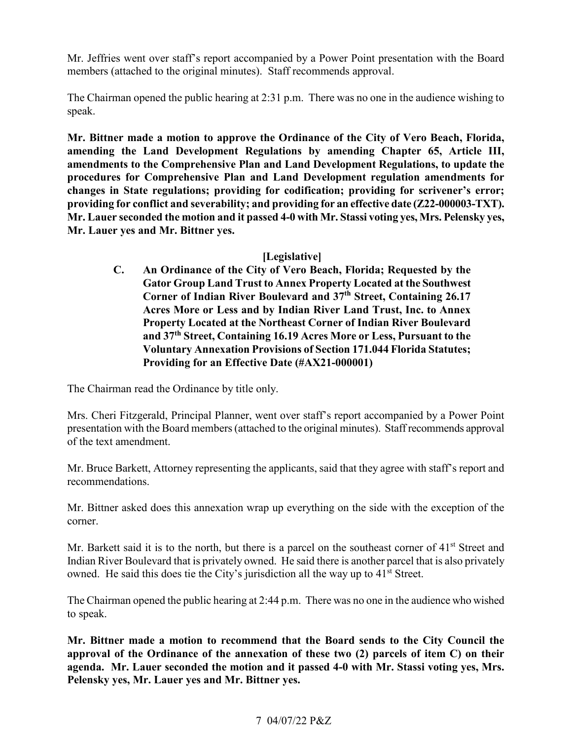members (attached to the original minutes). Staff recommends approval. Mr. Jeffries went over staff's report accompanied by a Power Point presentation with the Board

The Chairman opened the public hearing at 2:31 p.m. There was no one in the audience wishing to speak.

 **providing for conflict and severability; and providing for an effective date (Z22-000003-TXT). Mr. Lauer yes and Mr. Bittner yes. [Legislative] Mr. Bittner made a motion to approve the Ordinance of the City of Vero Beach, Florida, amending the Land Development Regulations by amending Chapter 65, Article III, amendments to the Comprehensive Plan and Land Development Regulations, to update the procedures for Comprehensive Plan and Land Development regulation amendments for changes in State regulations; providing for codification; providing for scrivener's error; Mr. Lauer seconded the motion and it passed 4-0 with Mr. Stassi voting yes, Mrs. Pelensky yes,** 

 **C. An Ordinance of the City of Vero Beach, Florida; Requested by the Gator Group Land Trust to Annex Property Located at the Southwest Acres More or Less and by Indian River Land Trust, Inc. to Annex and 37th Street, Containing 16.19 Acres More or Less, Pursuant to the Corner of Indian River Boulevard and 37th Street, Containing 26.17 Property Located at the Northeast Corner of Indian River Boulevard Voluntary Annexation Provisions of Section 171.044 Florida Statutes; Providing for an Effective Date (#AX21-000001)** 

The Chairman read the Ordinance by title only.

 presentation with the Board members (attached to the original minutes). Staff recommends approval Mrs. Cheri Fitzgerald, Principal Planner, went over staff's report accompanied by a Power Point of the text amendment.

 Mr. Bruce Barkett, Attorney representing the applicants, said that they agree with staff's report and recommendations.

Mr. Bittner asked does this annexation wrap up everything on the side with the exception of the corner.

 Indian River Boulevard that is privately owned. He said there is another parcel that is also privately owned. He said this does tie the City's jurisdiction all the way up to 41<sup>st</sup> Street. Mr. Barkett said it is to the north, but there is a parcel on the southeast corner of 41<sup>st</sup> Street and

 The Chairman opened the public hearing at 2:44 p.m. There was no one in the audience who wished to speak.

 **Mr. Bittner made a motion to recommend that the Board sends to the City Council the approval of the Ordinance of the annexation of these two (2) parcels of item C) on their agenda. Mr. Lauer seconded the motion and it passed 4-0 with Mr. Stassi voting yes, Mrs. Pelensky yes, Mr. Lauer yes and Mr. Bittner yes.**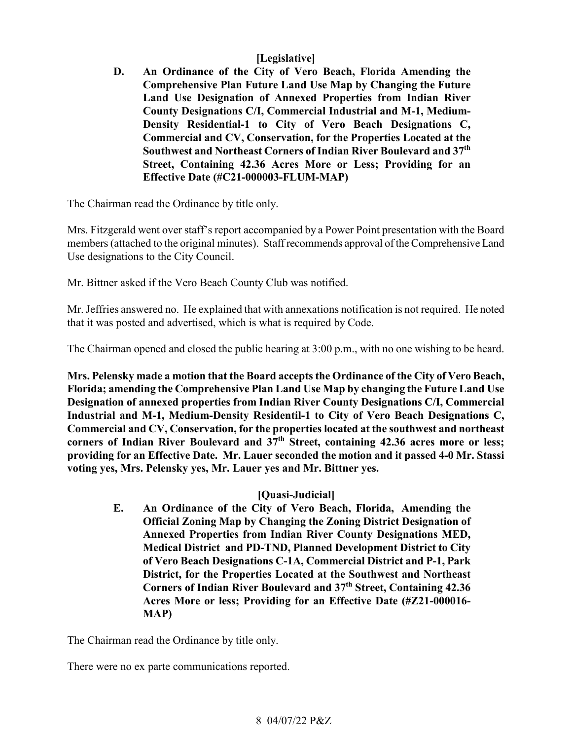# **[Legislative]**

 **D. An Ordinance of the City of Vero Beach, Florida Amending the Land Use Designation of Annexed Properties from Indian River Comprehensive Plan Future Land Use Map by Changing the Future County Designations C/I, Commercial Industrial and M-1, Medium-Density Residential-1 to City of Vero Beach Designations C, Commercial and CV, Conservation, for the Properties Located at the Southwest and Northeast Corners of Indian River Boulevard and 37th Street, Containing 42.36 Acres More or Less; Providing for an Effective Date (#C21-000003-FLUM-MAP)** 

The Chairman read the Ordinance by title only.

 Mrs. Fitzgerald went over staff's report accompanied by a Power Point presentation with the Board members (attached to the original minutes). Staff recommends approval of the Comprehensive Land Use designations to the City Council.

Mr. Bittner asked if the Vero Beach County Club was notified.

 Mr. Jeffries answered no. He explained that with annexations notification is not required. He noted that it was posted and advertised, which is what is required by Code.

The Chairman opened and closed the public hearing at 3:00 p.m., with no one wishing to be heard.

 **Mrs. Pelensky made a motion that the Board accepts the Ordinance of the City of Vero Beach, Commercial and CV, Conservation, for the properties located at the southwest and northeast Florida; amending the Comprehensive Plan Land Use Map by changing the Future Land Use Designation of annexed properties from Indian River County Designations C/I, Commercial Industrial and M-1, Medium-Density Residentil-1 to City of Vero Beach Designations C,**  corners of Indian River Boulevard and  $37<sup>th</sup>$  Street, containing 42.36 acres more or less; **providing for an Effective Date. Mr. Lauer seconded the motion and it passed 4-0 Mr. Stassi voting yes, Mrs. Pelensky yes, Mr. Lauer yes and Mr. Bittner yes.** 

## **[Quasi-Judicial]**

 **E. An Ordinance of the City of Vero Beach, Florida, Amending the Medical District and PD-TND, Planned Development District to City Corners of Indian River Boulevard and 37th Street, Containing 42.36 Official Zoning Map by Changing the Zoning District Designation of Annexed Properties from Indian River County Designations MED, of Vero Beach Designations C-1A, Commercial District and P-1, Park District, for the Properties Located at the Southwest and Northeast Acres More or less; Providing for an Effective Date (#Z21-000016- MAP)** 

The Chairman read the Ordinance by title only.

There were no ex parte communications reported.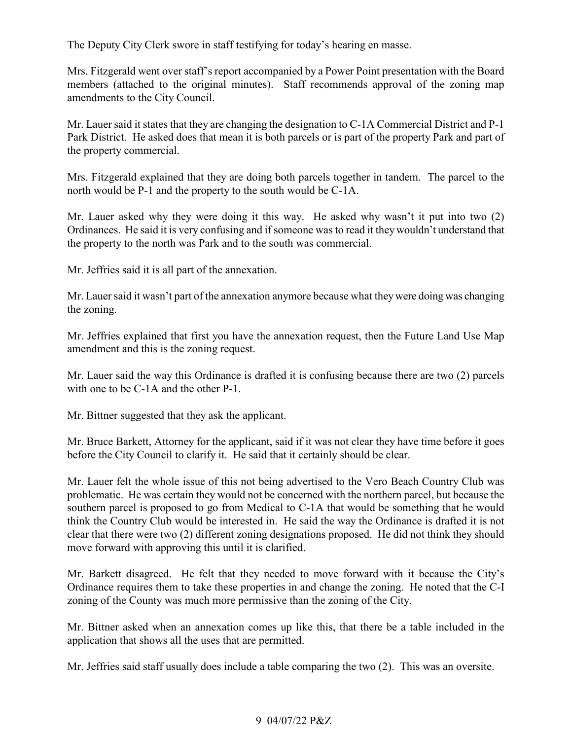The Deputy City Clerk swore in staff testifying for today's hearing en masse.

 Mrs. Fitzgerald went over staff's report accompanied by a Power Point presentation with the Board members (attached to the original minutes). Staff recommends approval of the zoning map amendments to the City Council.

the property commercial. Mr. Lauer said it states that they are changing the designation to C-1A Commercial District and P-1 Park District. He asked does that mean it is both parcels or is part of the property Park and part of

the property commercial.<br>Mrs. Fitzgerald explained that they are doing both parcels together in tandem. The parcel to the north would be P-1 and the property to the south would be C-1A.

 Mr. Lauer asked why they were doing it this way. He asked why wasn't it put into two (2) Ordinances. He said it is very confusing and if someone was to read it they wouldn't understand that the property to the north was Park and to the south was commercial.

Mr. Jeffries said it is all part of the annexation.

 Mr. Lauer said it wasn't part of the annexation anymore because what they were doing was changing the zoning.

 Mr. Jeffries explained that first you have the annexation request, then the Future Land Use Map amendment and this is the zoning request.

 Mr. Lauer said the way this Ordinance is drafted it is confusing because there are two (2) parcels with one to be C-1A and the other P-1.

Mr. Bittner suggested that they ask the applicant.

 Mr. Bruce Barkett, Attorney for the applicant, said if it was not clear they have time before it goes before the City Council to clarify it. He said that it certainly should be clear.

 problematic. He was certain they would not be concerned with the northern parcel, but because the southern parcel is proposed to go from Medical to C-1A that would be something that he would clear that there were two (2) different zoning designations proposed. He did not think they should Mr. Lauer felt the whole issue of this not being advertised to the Vero Beach Country Club was think the Country Club would be interested in. He said the way the Ordinance is drafted it is not move forward with approving this until it is clarified.

 Ordinance requires them to take these properties in and change the zoning. He noted that the C-I Mr. Barkett disagreed. He felt that they needed to move forward with it because the City's zoning of the County was much more permissive than the zoning of the City.

Mr. Bittner asked when an annexation comes up like this, that there be a table included in the application that shows all the uses that are permitted.

Mr. Jeffries said staff usually does include a table comparing the two (2). This was an oversite.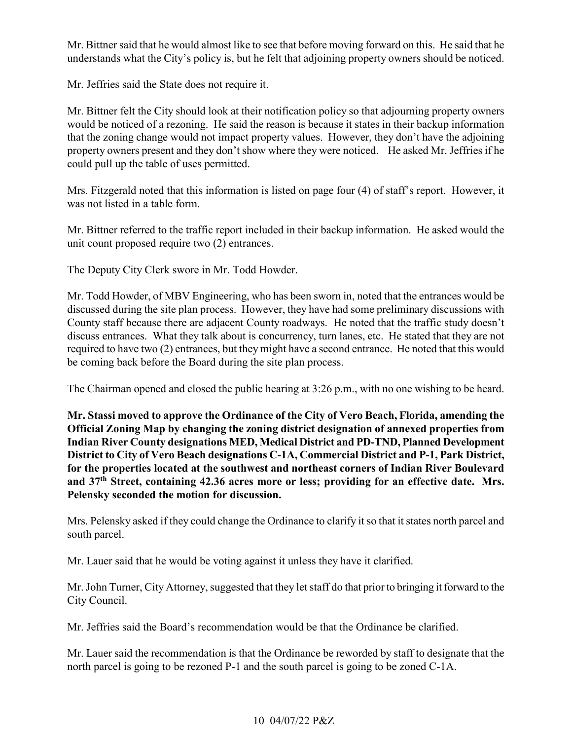understands what the City's policy is, but he felt that adjoining property owners should be noticed. Mr. Bittner said that he would almost like to see that before moving forward on this. He said that he

Mr. Jeffries said the State does not require it.

 Mr. Bittner felt the City should look at their notification policy so that adjourning property owners would be noticed of a rezoning. He said the reason is because it states in their backup information property owners present and they don't show where they were noticed. He asked Mr. Jeffries if he that the zoning change would not impact property values. However, they don't have the adjoining could pull up the table of uses permitted.

Mrs. Fitzgerald noted that this information is listed on page four (4) of staff's report. However, it was not listed in a table form.

 Mr. Bittner referred to the traffic report included in their backup information. He asked would the unit count proposed require two (2) entrances.

The Deputy City Clerk swore in Mr. Todd Howder.

 discussed during the site plan process. However, they have had some preliminary discussions with County staff because there are adjacent County roadways. He noted that the traffic study doesn't discuss entrances. What they talk about is concurrency, turn lanes, etc. He stated that they are not required to have two (2) entrances, but they might have a second entrance. He noted that this would Mr. Todd Howder, of MBV Engineering, who has been sworn in, noted that the entrances would be be coming back before the Board during the site plan process.

The Chairman opened and closed the public hearing at 3:26 p.m., with no one wishing to be heard.

 **Official Zoning Map by changing the zoning district designation of annexed properties from Indian River County designations MED, Medical District and PD-TND, Planned Development for the properties located at the southwest and northeast corners of Indian River Boulevard and 37th Street, containing 42.36 acres more or less; providing for an effective date. Mrs. Mr. Stassi moved to approve the Ordinance of the City of Vero Beach, Florida, amending the District to City of Vero Beach designations C-1A, Commercial District and P-1, Park District, Pelensky seconded the motion for discussion.** 

Mrs. Pelensky asked if they could change the Ordinance to clarify it so that it states north parcel and south parcel.

Mr. Lauer said that he would be voting against it unless they have it clarified.

 Mr. John Turner, City Attorney, suggested that they let staff do that prior to bringing it forward to the City Council.

Mr. Jeffries said the Board's recommendation would be that the Ordinance be clarified.

 Mr. Lauer said the recommendation is that the Ordinance be reworded by staff to designate that the north parcel is going to be rezoned P-1 and the south parcel is going to be zoned C-1A.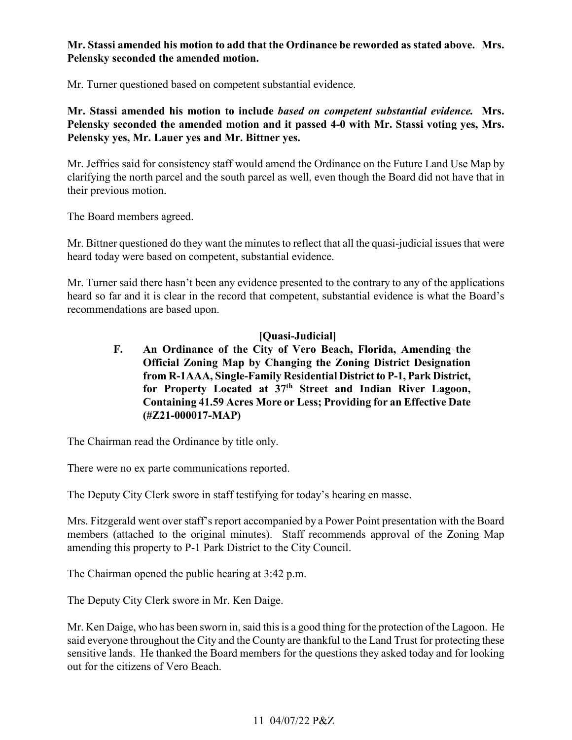# **Mr. Stassi amended his motion to add that the Ordinance be reworded as stated above. Mrs. Pelensky seconded the amended motion.**

Mr. Turner questioned based on competent substantial evidence.

**Mr. Stassi amended his motion to include** *based on competent substantial evidence.* **Mrs. Pelensky seconded the amended motion and it passed 4-0 with Mr. Stassi voting yes, Mrs. Pelensky yes, Mr. Lauer yes and Mr. Bittner yes.** 

Mr. Jeffries said for consistency staff would amend the Ordinance on the Future Land Use Map by clarifying the north parcel and the south parcel as well, even though the Board did not have that in their previous motion.

The Board members agreed.

Mr. Bittner questioned do they want the minutes to reflect that all the quasi-judicial issues that were heard today were based on competent, substantial evidence.

 Mr. Turner said there hasn't been any evidence presented to the contrary to any of the applications heard so far and it is clear in the record that competent, substantial evidence is what the Board's recommendations are based upon.

# **[Quasi-Judicial]**

 **Containing 41.59 Acres More or Less; Providing for an Effective Date F. An Ordinance of the City of Vero Beach, Florida, Amending the Official Zoning Map by Changing the Zoning District Designation from R-1AAA, Single-Family Residential District to P-1, Park District, for Property Located at 37th Street and Indian River Lagoon, (#Z21-000017-MAP)** 

The Chairman read the Ordinance by title only.

There were no ex parte communications reported.

The Deputy City Clerk swore in staff testifying for today's hearing en masse.

 Mrs. Fitzgerald went over staff's report accompanied by a Power Point presentation with the Board members (attached to the original minutes). Staff recommends approval of the Zoning Map amending this property to P-1 Park District to the City Council.

The Chairman opened the public hearing at 3:42 p.m.

The Deputy City Clerk swore in Mr. Ken Daige.

 said everyone throughout the City and the County are thankful to the Land Trust for protecting these sensitive lands. He thanked the Board members for the questions they asked today and for looking Mr. Ken Daige, who has been sworn in, said this is a good thing for the protection of the Lagoon. He out for the citizens of Vero Beach.